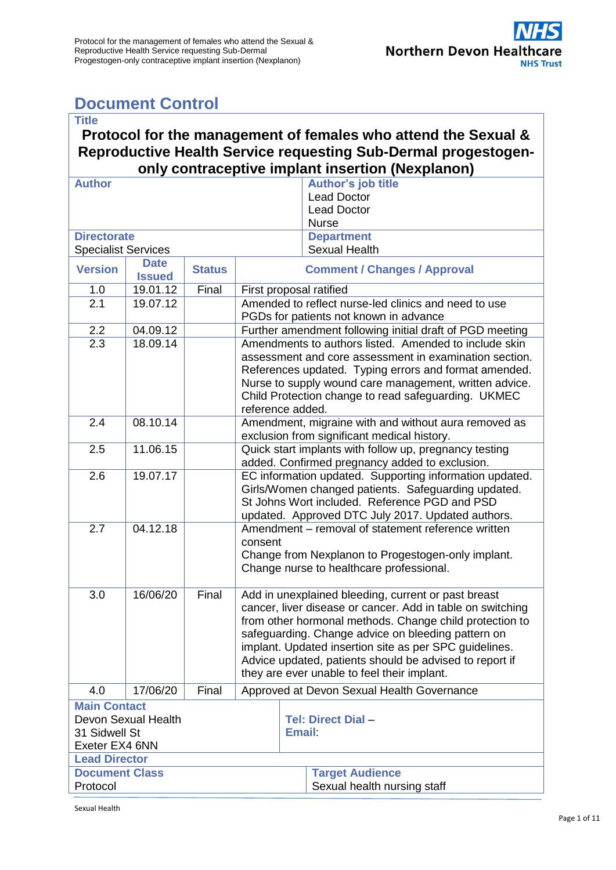# <span id="page-0-0"></span>**Document Control**

#### **Title Protocol for the management of females who attend the Sexual & Reproductive Health Service requesting Sub-Dermal progestogenonly contraceptive implant insertion (Nexplanon) Author Author's job title** Lead Doctor Lead Doctor **Nurse Directorate** Specialist Services **Department** Sexual Health **Version Date Issued Status Comment / Changes / Approval**<br> **I9.01.12** Final First proposal ratified 1.0 19.01.12 Final First proposal ratified 2.1 19.07.12 Amended to reflect nurse-led clinics and need to use PGDs for patients not known in advance 2.2 04.09.12 **Further amendment following initial draft of PGD meeting** 2.3 18.09.14 Amendments to authors listed. Amended to include skin assessment and core assessment in examination section. References updated. Typing errors and format amended. Nurse to supply wound care management, written advice. Child Protection change to read safeguarding. UKMEC reference added. 2.4 08.10.14 Amendment, migraine with and without aura removed as exclusion from significant medical history. 2.5 11.06.15 Quick start implants with follow up, pregnancy testing added. Confirmed pregnancy added to exclusion. 2.6 | 19.07.17 | EC information updated. Supporting information updated. Girls/Women changed patients. Safeguarding updated. St Johns Wort included. Reference PGD and PSD updated. Approved DTC July 2017. Updated authors. 2.7 04.12.18 Amendment – removal of statement reference written consent Change from Nexplanon to Progestogen-only implant. Change nurse to healthcare professional.

| 3.0                                                                           | 16/06/20 | Final | Add in unexplained bleeding, current or past breast<br>cancer, liver disease or cancer. Add in table on switching<br>from other hormonal methods. Change child protection to<br>safeguarding. Change advice on bleeding pattern on<br>implant. Updated insertion site as per SPC guidelines.<br>Advice updated, patients should be advised to report if<br>they are ever unable to feel their implant. |                                                       |  |  |
|-------------------------------------------------------------------------------|----------|-------|--------------------------------------------------------------------------------------------------------------------------------------------------------------------------------------------------------------------------------------------------------------------------------------------------------------------------------------------------------------------------------------------------------|-------------------------------------------------------|--|--|
| 4.0                                                                           | 17/06/20 | Final | Approved at Devon Sexual Health Governance                                                                                                                                                                                                                                                                                                                                                             |                                                       |  |  |
| <b>Main Contact</b><br>Devon Sexual Health<br>31 Sidwell St<br>Exeter EX4 6NN |          |       |                                                                                                                                                                                                                                                                                                                                                                                                        | Tel: Direct Dial-<br>Email:                           |  |  |
| <b>Lead Director</b>                                                          |          |       |                                                                                                                                                                                                                                                                                                                                                                                                        |                                                       |  |  |
| <b>Document Class</b><br>Protocol                                             |          |       |                                                                                                                                                                                                                                                                                                                                                                                                        | <b>Target Audience</b><br>Sexual health nursing staff |  |  |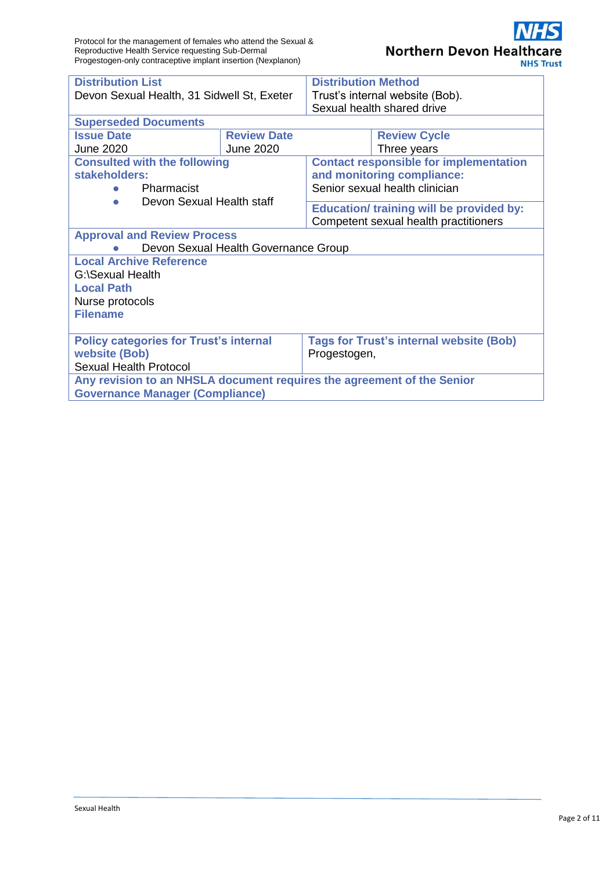| <b>Distribution List</b>                                                                                         |                                      | <b>Distribution Method</b>                                                               |                            |  |  |  |  |
|------------------------------------------------------------------------------------------------------------------|--------------------------------------|------------------------------------------------------------------------------------------|----------------------------|--|--|--|--|
| Devon Sexual Health, 31 Sidwell St, Exeter                                                                       |                                      | Trust's internal website (Bob).                                                          |                            |  |  |  |  |
|                                                                                                                  |                                      |                                                                                          | Sexual health shared drive |  |  |  |  |
| <b>Superseded Documents</b>                                                                                      |                                      |                                                                                          |                            |  |  |  |  |
| <b>Issue Date</b>                                                                                                | <b>Review Date</b>                   |                                                                                          | <b>Review Cycle</b>        |  |  |  |  |
| <b>June 2020</b>                                                                                                 | <b>June 2020</b>                     |                                                                                          | Three years                |  |  |  |  |
| <b>Consulted with the following</b><br>stakeholders:                                                             |                                      | <b>Contact responsible for implementation</b><br>and monitoring compliance:              |                            |  |  |  |  |
| Pharmacist<br>Devon Sexual Health staff                                                                          |                                      | Senior sexual health clinician                                                           |                            |  |  |  |  |
| $\bullet$                                                                                                        |                                      | <b>Education/ training will be provided by:</b><br>Competent sexual health practitioners |                            |  |  |  |  |
| <b>Approval and Review Process</b>                                                                               |                                      |                                                                                          |                            |  |  |  |  |
|                                                                                                                  | Devon Sexual Health Governance Group |                                                                                          |                            |  |  |  |  |
| <b>Local Archive Reference</b>                                                                                   |                                      |                                                                                          |                            |  |  |  |  |
| G:\Sexual Health                                                                                                 |                                      |                                                                                          |                            |  |  |  |  |
| <b>Local Path</b>                                                                                                |                                      |                                                                                          |                            |  |  |  |  |
| Nurse protocols                                                                                                  |                                      |                                                                                          |                            |  |  |  |  |
| <b>Filename</b>                                                                                                  |                                      |                                                                                          |                            |  |  |  |  |
| <b>Policy categories for Trust's internal</b><br><b>website (Bob)</b>                                            |                                      | <b>Tags for Trust's internal website (Bob)</b><br>Progestogen,                           |                            |  |  |  |  |
| <b>Sexual Health Protocol</b>                                                                                    |                                      |                                                                                          |                            |  |  |  |  |
| Any revision to an NHSLA document requires the agreement of the Senior<br><b>Governance Manager (Compliance)</b> |                                      |                                                                                          |                            |  |  |  |  |
|                                                                                                                  |                                      |                                                                                          |                            |  |  |  |  |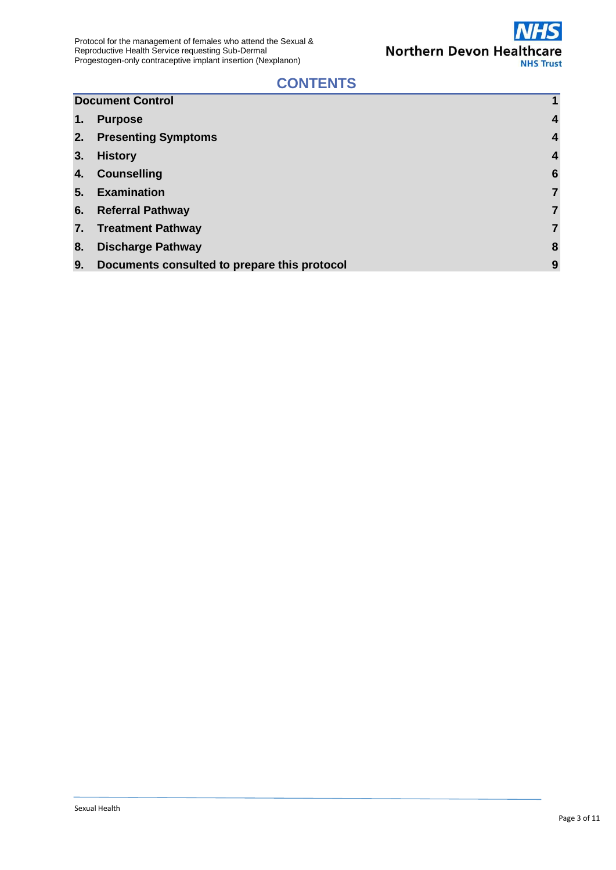

### **CONTENTS**

|    | <b>Document Control</b>                      | 1                |
|----|----------------------------------------------|------------------|
| 1. | <b>Purpose</b>                               | $\overline{4}$   |
|    | 2. Presenting Symptoms                       | $\boldsymbol{4}$ |
| 3. | <b>History</b>                               | $\overline{4}$   |
|    | 4. Counselling                               | $6\phantom{1}6$  |
|    | 5. Examination                               | $\overline{7}$   |
|    | 6. Referral Pathway                          | $\overline{7}$   |
|    | 7. Treatment Pathway                         | $\overline{7}$   |
| 8. | <b>Discharge Pathway</b>                     | 8                |
| 9. | Documents consulted to prepare this protocol | 9                |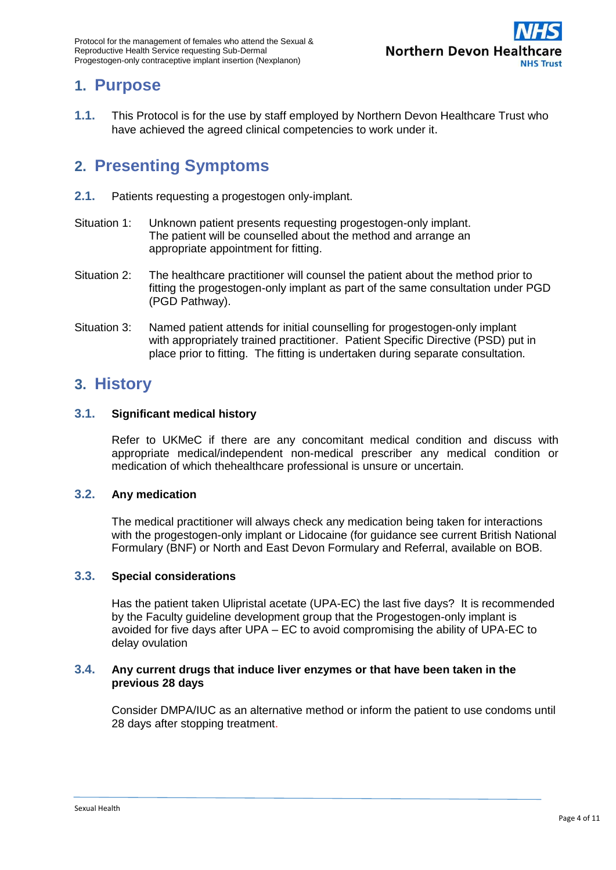

### <span id="page-3-0"></span>**1. Purpose**

**1.1.** This Protocol is for the use by staff employed by Northern Devon Healthcare Trust who have achieved the agreed clinical competencies to work under it.

### <span id="page-3-1"></span>**2. Presenting Symptoms**

- **2.1.** Patients requesting a progestogen only-implant.
- Situation 1: Unknown patient presents requesting progestogen-only implant. The patient will be counselled about the method and arrange an appropriate appointment for fitting.
- Situation 2: The healthcare practitioner will counsel the patient about the method prior to fitting the progestogen-only implant as part of the same consultation under PGD (PGD Pathway).
- Situation 3: Named patient attends for initial counselling for progestogen-only implant with appropriately trained practitioner. Patient Specific Directive (PSD) put in place prior to fitting. The fitting is undertaken during separate consultation.

### <span id="page-3-2"></span>**3. History**

#### **3.1. Significant medical history**

Refer to UKMeC if there are any concomitant medical condition and discuss with appropriate medical/independent non-medical prescriber any medical condition or medication of which thehealthcare professional is unsure or uncertain.

#### **3.2. Any medication**

The medical practitioner will always check any medication being taken for interactions with the progestogen-only implant or Lidocaine (for guidance see current British National Formulary (BNF) or North and East Devon Formulary and Referral, available on BOB.

#### **3.3. Special considerations**

Has the patient taken Ulipristal acetate (UPA-EC) the last five days? It is recommended by the Faculty guideline development group that the Progestogen-only implant is avoided for five days after UPA – EC to avoid compromising the ability of UPA-EC to delay ovulation

#### **3.4. Any current drugs that induce liver enzymes or that have been taken in the previous 28 days**

Consider DMPA/IUC as an alternative method or inform the patient to use condoms until 28 days after stopping treatment.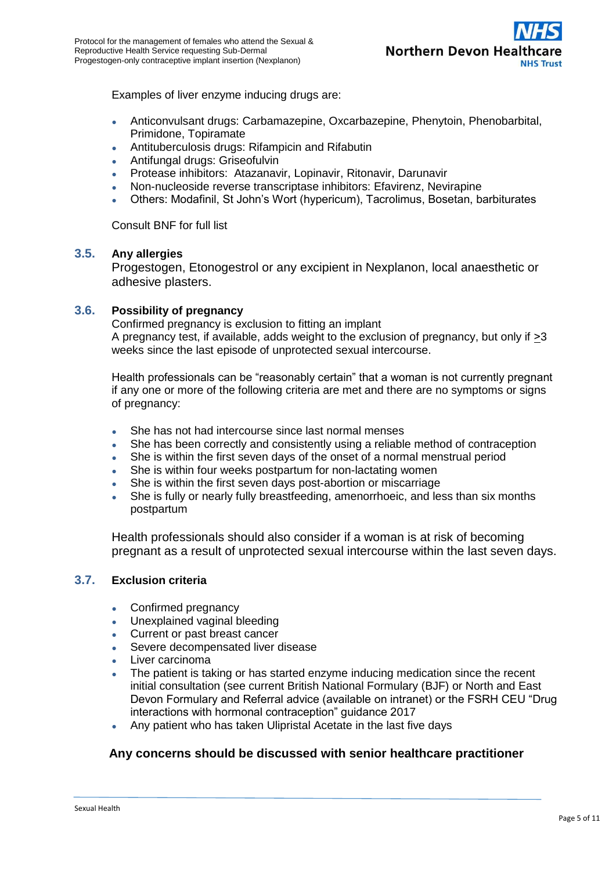

Examples of liver enzyme inducing drugs are:

- Anticonvulsant drugs: Carbamazepine, Oxcarbazepine, Phenytoin, Phenobarbital, Primidone, Topiramate
- Antituberculosis drugs: Rifampicin and Rifabutin
- Antifungal drugs: Griseofulvin
- Protease inhibitors: Atazanavir, Lopinavir, Ritonavir, Darunavir
- Non-nucleoside reverse transcriptase inhibitors: Efavirenz, Nevirapine
- Others: Modafinil, St John's Wort (hypericum), Tacrolimus, Bosetan, barbiturates

Consult BNF for full list

#### **3.5. Any allergies**

Progestogen, Etonogestrol or any excipient in Nexplanon, local anaesthetic or adhesive plasters.

#### **3.6. Possibility of pregnancy**

Confirmed pregnancy is exclusion to fitting an implant A pregnancy test, if available, adds weight to the exclusion of pregnancy, but only if  $\geq 3$ weeks since the last episode of unprotected sexual intercourse.

Health professionals can be "reasonably certain" that a woman is not currently pregnant if any one or more of the following criteria are met and there are no symptoms or signs of pregnancy:

- She has not had intercourse since last normal menses
- She has been correctly and consistently using a reliable method of contraception
- She is within the first seven days of the onset of a normal menstrual period
- She is within four weeks postpartum for non-lactating women
- She is within the first seven days post-abortion or miscarriage
- She is fully or nearly fully breastfeeding, amenorrhoeic, and less than six months postpartum

Health professionals should also consider if a woman is at risk of becoming pregnant as a result of unprotected sexual intercourse within the last seven days.

#### **3.7. Exclusion criteria**

- Confirmed pregnancy
- Unexplained vaginal bleeding
- Current or past breast cancer
- Severe decompensated liver disease
- Liver carcinoma
- The patient is taking or has started enzyme inducing medication since the recent initial consultation (see current British National Formulary (BJF) or North and East Devon Formulary and Referral advice (available on intranet) or the FSRH CEU "Drug interactions with hormonal contraception" guidance 2017
- Any patient who has taken Ulipristal Acetate in the last five days

#### **Any concerns should be discussed with senior healthcare practitioner**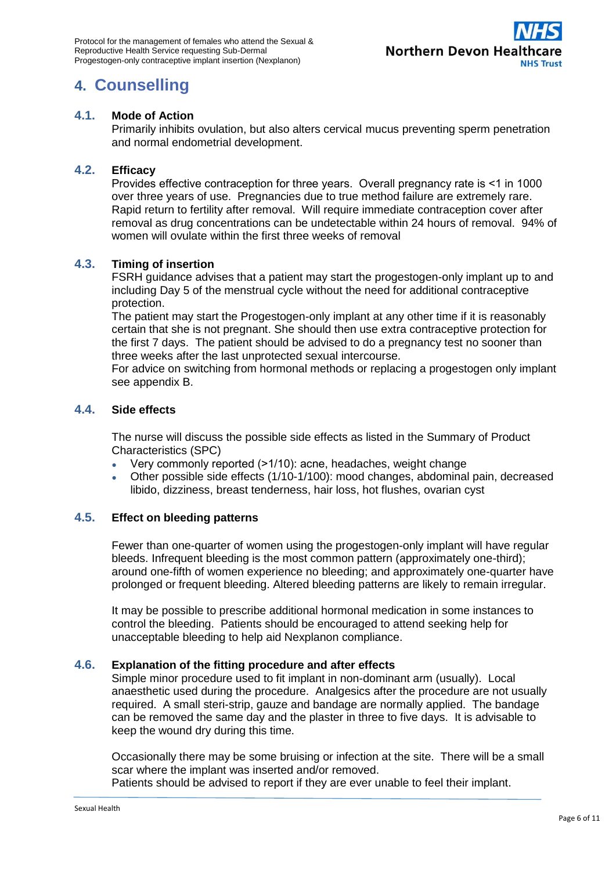

## <span id="page-5-0"></span>**4. Counselling**

#### **4.1. Mode of Action**

Primarily inhibits ovulation, but also alters cervical mucus preventing sperm penetration and normal endometrial development.

#### **4.2. Efficacy**

Provides effective contraception for three years. Overall pregnancy rate is ˂1 in 1000 over three years of use. Pregnancies due to true method failure are extremely rare. Rapid return to fertility after removal. Will require immediate contraception cover after removal as drug concentrations can be undetectable within 24 hours of removal. 94% of women will ovulate within the first three weeks of removal

#### **4.3. Timing of insertion**

FSRH guidance advises that a patient may start the progestogen-only implant up to and including Day 5 of the menstrual cycle without the need for additional contraceptive protection.

The patient may start the Progestogen-only implant at any other time if it is reasonably certain that she is not pregnant. She should then use extra contraceptive protection for the first 7 days. The patient should be advised to do a pregnancy test no sooner than three weeks after the last unprotected sexual intercourse.

For advice on switching from hormonal methods or replacing a progestogen only implant see appendix B.

#### **4.4. Side effects**

The nurse will discuss the possible side effects as listed in the Summary of Product Characteristics (SPC)

- Very commonly reported  $(>1/10)$ : acne, headaches, weight change
- Other possible side effects (1/10-1/100): mood changes, abdominal pain, decreased libido, dizziness, breast tenderness, hair loss, hot flushes, ovarian cyst

#### **4.5. Effect on bleeding patterns**

Fewer than one-quarter of women using the progestogen-only implant will have regular bleeds. Infrequent bleeding is the most common pattern (approximately one-third); around one-fifth of women experience no bleeding; and approximately one-quarter have prolonged or frequent bleeding. Altered bleeding patterns are likely to remain irregular.

It may be possible to prescribe additional hormonal medication in some instances to control the bleeding. Patients should be encouraged to attend seeking help for unacceptable bleeding to help aid Nexplanon compliance.

#### **4.6. Explanation of the fitting procedure and after effects**

Simple minor procedure used to fit implant in non-dominant arm (usually). Local anaesthetic used during the procedure. Analgesics after the procedure are not usually required. A small steri-strip, gauze and bandage are normally applied. The bandage can be removed the same day and the plaster in three to five days. It is advisable to keep the wound dry during this time.

Occasionally there may be some bruising or infection at the site. There will be a small scar where the implant was inserted and/or removed.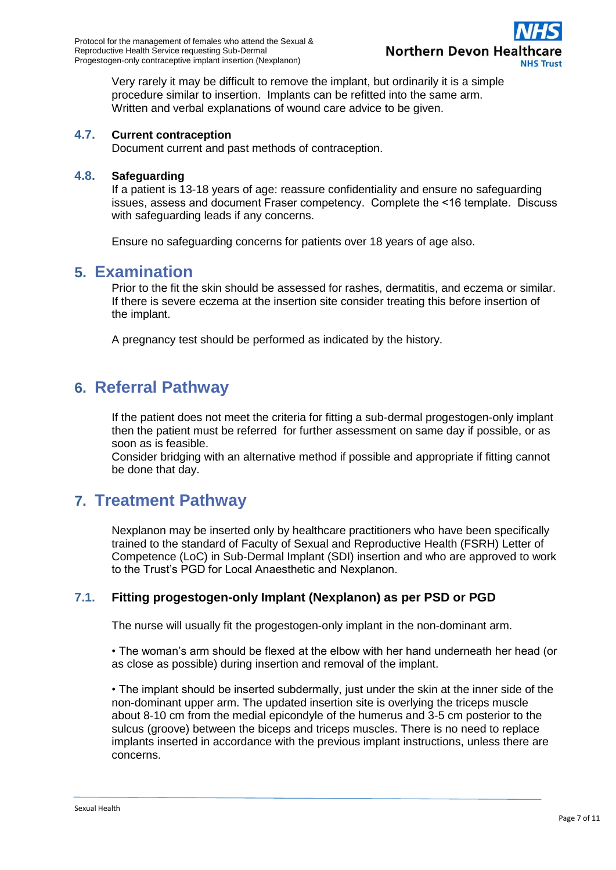

Very rarely it may be difficult to remove the implant, but ordinarily it is a simple procedure similar to insertion. Implants can be refitted into the same arm. Written and verbal explanations of wound care advice to be given.

#### **4.7. Current contraception**

Document current and past methods of contraception.

#### **4.8. Safeguarding**

If a patient is 13-18 years of age: reassure confidentiality and ensure no safeguarding issues, assess and document Fraser competency. Complete the ˂16 template. Discuss with safeguarding leads if any concerns.

Ensure no safeguarding concerns for patients over 18 years of age also.

#### <span id="page-6-0"></span>**5. Examination**

Prior to the fit the skin should be assessed for rashes, dermatitis, and eczema or similar. If there is severe eczema at the insertion site consider treating this before insertion of the implant.

A pregnancy test should be performed as indicated by the history.

### <span id="page-6-1"></span>**6. Referral Pathway**

If the patient does not meet the criteria for fitting a sub-dermal progestogen-only implant then the patient must be referred for further assessment on same day if possible, or as soon as is feasible.

Consider bridging with an alternative method if possible and appropriate if fitting cannot be done that day.

### <span id="page-6-2"></span>**7. Treatment Pathway**

Nexplanon may be inserted only by healthcare practitioners who have been specifically trained to the standard of Faculty of Sexual and Reproductive Health (FSRH) Letter of Competence (LoC) in Sub-Dermal Implant (SDI) insertion and who are approved to work to the Trust's PGD for Local Anaesthetic and Nexplanon.

#### **7.1. Fitting progestogen-only Implant (Nexplanon) as per PSD or PGD**

The nurse will usually fit the progestogen-only implant in the non-dominant arm.

• The woman's arm should be flexed at the elbow with her hand underneath her head (or as close as possible) during insertion and removal of the implant.

• The implant should be inserted subdermally, just under the skin at the inner side of the non-dominant upper arm. The updated insertion site is overlying the triceps muscle about 8-10 cm from the medial epicondyle of the humerus and 3-5 cm posterior to the sulcus (groove) between the biceps and triceps muscles. There is no need to replace implants inserted in accordance with the previous implant instructions, unless there are concerns.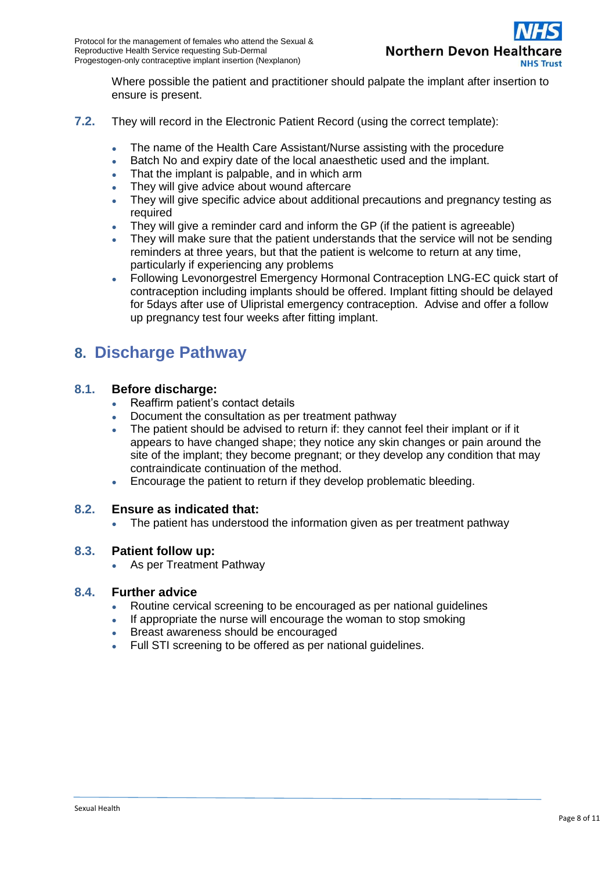

Where possible the patient and practitioner should palpate the implant after insertion to ensure is present.

- **7.2.** They will record in the Electronic Patient Record (using the correct template):
	- The name of the Health Care Assistant/Nurse assisting with the procedure
	- Batch No and expiry date of the local anaesthetic used and the implant.
	- That the implant is palpable, and in which arm
	- They will give advice about wound aftercare
	- They will give specific advice about additional precautions and pregnancy testing as required
	- They will give a reminder card and inform the GP (if the patient is agreeable)
	- They will make sure that the patient understands that the service will not be sending reminders at three years, but that the patient is welcome to return at any time, particularly if experiencing any problems
	- Following Levonorgestrel Emergency Hormonal Contraception LNG-EC quick start of contraception including implants should be offered. Implant fitting should be delayed for 5days after use of Ulipristal emergency contraception. Advise and offer a follow up pregnancy test four weeks after fitting implant.

## <span id="page-7-0"></span>**8. Discharge Pathway**

#### **8.1. Before discharge:**

- Reaffirm patient's contact details
- Document the consultation as per treatment pathway
- The patient should be advised to return if: they cannot feel their implant or if it appears to have changed shape; they notice any skin changes or pain around the site of the implant; they become pregnant; or they develop any condition that may contraindicate continuation of the method.
- Encourage the patient to return if they develop problematic bleeding.

#### **8.2. Ensure as indicated that:**

The patient has understood the information given as per treatment pathway

#### **8.3. Patient follow up:**

As per Treatment Pathway

#### **8.4. Further advice**

- Routine cervical screening to be encouraged as per national guidelines
- If appropriate the nurse will encourage the woman to stop smoking
- Breast awareness should be encouraged
- Full STI screening to be offered as per national guidelines.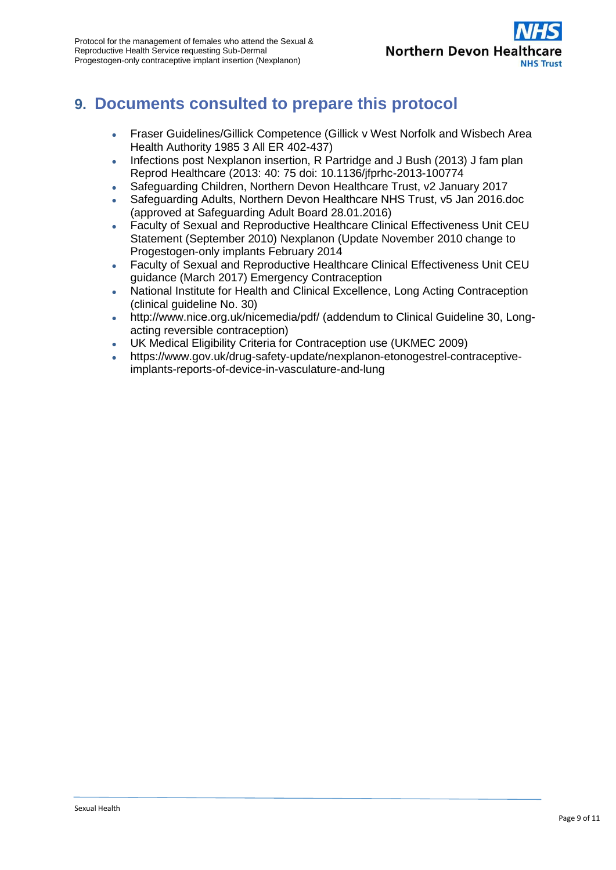

## <span id="page-8-0"></span>**9. Documents consulted to prepare this protocol**

- Fraser Guidelines/Gillick Competence (Gillick v West Norfolk and Wisbech Area Health Authority 1985 3 All ER 402-437)
- Infections post Nexplanon insertion, R Partridge and J Bush (2013) J fam plan Reprod Healthcare (2013: 40: 75 doi: 10.1136/jfprhc-2013-100774
- Safeguarding Children, Northern Devon Healthcare Trust, v2 January 2017
- Safeguarding Adults, Northern Devon Healthcare NHS Trust, v5 Jan 2016.doc (approved at Safeguarding Adult Board 28.01.2016)
- Faculty of Sexual and Reproductive Healthcare Clinical Effectiveness Unit CEU Statement (September 2010) Nexplanon (Update November 2010 change to Progestogen-only implants February 2014
- Faculty of Sexual and Reproductive Healthcare Clinical Effectiveness Unit CEU guidance (March 2017) Emergency Contraception
- National Institute for Health and Clinical Excellence, Long Acting Contraception (clinical guideline No. 30)
- <http://www.nice.org.uk/nicemedia/pdf/> (addendum to Clinical Guideline 30, Longacting reversible contraception)
- UK Medical Eligibility Criteria for Contraception use (UKMEC 2009)
- [https://www.gov.uk/drug-safety-update/nexplanon-etonogestrel-contraceptive](https://www.gov.uk/drug-safety-update/nexplanon-etonogestrel-contraceptive-implants-reports-of-device-in-vasculature-and-lung)[implants-reports-of-device-in-vasculature-and-lung](https://www.gov.uk/drug-safety-update/nexplanon-etonogestrel-contraceptive-implants-reports-of-device-in-vasculature-and-lung)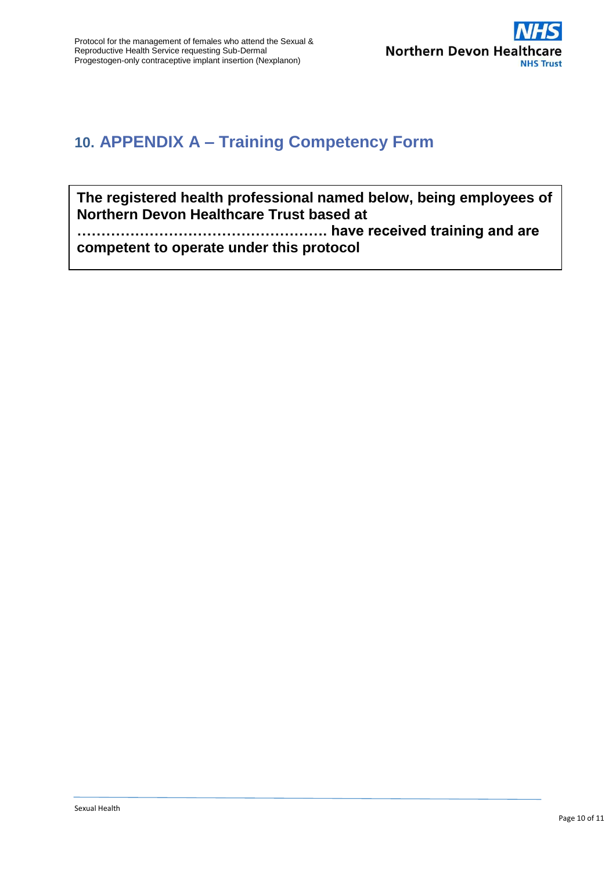

## **10. APPENDIX A – Training Competency Form**

**The registered health professional named below, being employees of Northern Devon Healthcare Trust based at** 

**……………………………………………. have received training and are competent to operate under this protocol**